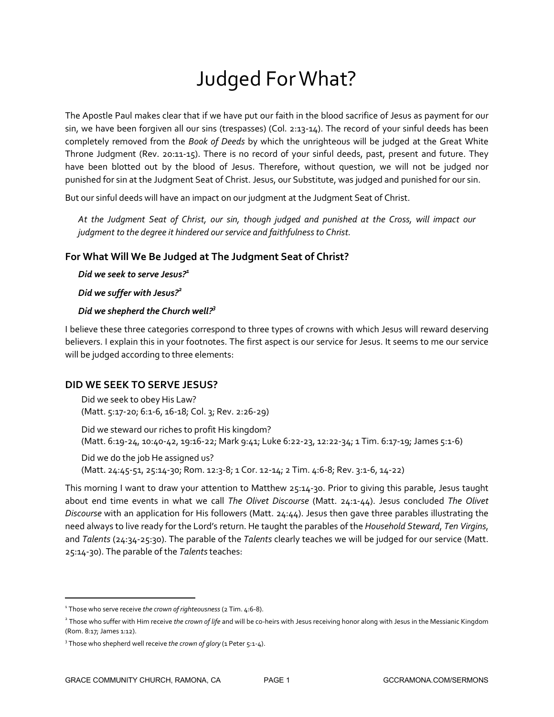# Judged For What?

The Apostle Paul makes clear that if we have put our faith in the blood sacrifice of Jesus as payment for our sin, we have been forgiven all our sins (trespasses) (Col. 2:13-14). The record of your sinful deeds has been completely removed from the *Book of Deeds* by which the unrighteous will be judged at the Great White Throne Judgment (Rev. 20:11-15). There is no record of your sinful deeds, past, present and future. They have been blotted out by the blood of Jesus. Therefore, without question, we will not be judged nor punished for sin at the Judgment Seat of Christ. Jesus, our Substitute, was judged and punished for our sin.

But our sinful deeds will have an impact on our judgment at the Judgment Seat of Christ.

*At the Judgment Seat of Christ, our sin, though judged and punished at the Cross, will impact our judgment to the degree it hindered our service and faithfulness to Christ.*

### **For What Will We Be Judged at The Judgment Seat of Christ?**

*Did we seek to serve Jesus?1*

*Did we suffer with Jesus?2*

# *Did we shepherd the Church well? 3*

I believe these three categories correspond to three types of crowns with which Jesus will reward deserving believers. I explain this in your footnotes. The first aspect is our service for Jesus. It seems to me our service will be judged according to three elements:

#### **DID WE SEEK TO SERVE JESUS?**

Did we seek to obey His Law? (Matt. 5:17-20; 6:1-6, 16-18; Col. 3; Rev. 2:26-29)

Did we steward our riches to profit His kingdom? (Matt. 6:19-24, 10:40-42, 19:16-22; Mark 9:41; Luke 6:22-23, 12:22-34; 1 Tim. 6:17-19; James 5:1-6)

Did we do the job He assigned us? (Matt. 24:45-51, 25:14-30; Rom. 12:3-8; 1 Cor. 12-14; 2 Tim. 4:6-8; Rev. 3:1-6, 14-22)

This morning I want to draw your attention to Matthew 25:14-30. Prior to giving this parable, Jesus taught about end time events in what we call *The Olivet Discourse* (Matt. 24:1-44). Jesus concluded *The Olivet Discourse* with an application for His followers (Matt. 24:44). Jesus then gave three parables illustrating the need always to live ready for the Lord's return. He taught the parables of the *Household Steward*, *Ten Virgins*, and *Talents* (24:34-25:30). The parable of the *Talents* clearly teaches we will be judged for our service (Matt. 25:14-30). The parable of the *Talents* teaches:

1

<sup>1</sup> Those who serve receive *the crown of righteousness* (2 Tim. 4:6-8).

<sup>2</sup> Those who suffer with Him receive *the crown of life* and will be co-heirs with Jesus receiving honor along with Jesus in the Messianic Kingdom (Rom. 8:17; James 1:12).

<sup>&</sup>lt;sup>3</sup> Those who shepherd well receive *the crown of glory* (1 Peter 5:1-4).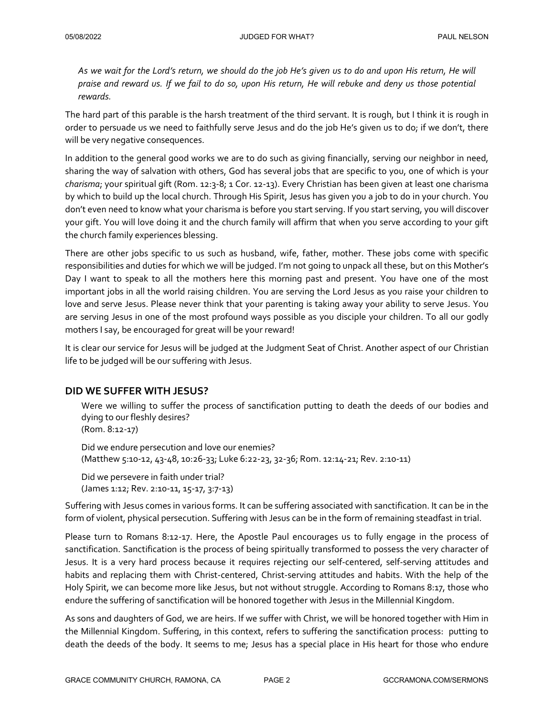*As we wait for the Lord's return, we should do the job He's given us to do and upon His return, He will praise and reward us. If we fail to do so, upon His return, He will rebuke and deny us those potential rewards.*

The hard part of this parable is the harsh treatment of the third servant. It is rough, but I think it is rough in order to persuade us we need to faithfully serve Jesus and do the job He's given us to do; if we don't, there will be very negative consequences.

In addition to the general good works we are to do such as giving financially, serving our neighbor in need, sharing the way of salvation with others, God has several jobs that are specific to you, one of which is your *charisma*; your spiritual gift (Rom. 12:3-8; 1 Cor. 12-13). Every Christian has been given at least one charisma by which to build up the local church. Through His Spirit, Jesus has given you a job to do in your church. You don't even need to know what your charisma is before you start serving. If you start serving, you will discover your gift. You will love doing it and the church family will affirm that when you serve according to your gift the church family experiences blessing.

There are other jobs specific to us such as husband, wife, father, mother. These jobs come with specific responsibilities and duties for which we will be judged. I'm not going to unpack all these, but on this Mother's Day I want to speak to all the mothers here this morning past and present. You have one of the most important jobs in all the world raising children. You are serving the Lord Jesus as you raise your children to love and serve Jesus. Please never think that your parenting is taking away your ability to serve Jesus. You are serving Jesus in one of the most profound ways possible as you disciple your children. To all our godly mothers I say, be encouraged for great will be your reward!

It is clear our service for Jesus will be judged at the Judgment Seat of Christ. Another aspect of our Christian life to be judged will be our suffering with Jesus.

# **DID WE SUFFER WITH JESUS?**

Were we willing to suffer the process of sanctification putting to death the deeds of our bodies and dying to our fleshly desires?

(Rom. 8:12-17)

Did we endure persecution and love our enemies? (Matthew 5:10-12, 43-48, 10:26-33; Luke 6:22-23, 32-36; Rom. 12:14-21; Rev. 2:10-11)

Did we persevere in faith under trial? (James 1:12; Rev. 2:10-11, 15-17, 3:7-13)

Suffering with Jesus comes in various forms. It can be suffering associated with sanctification. It can be in the form of violent, physical persecution. Suffering with Jesus can be in the form of remaining steadfast in trial.

Please turn to Romans 8:12-17. Here, the Apostle Paul encourages us to fully engage in the process of sanctification. Sanctification is the process of being spiritually transformed to possess the very character of Jesus. It is a very hard process because it requires rejecting our self-centered, self-serving attitudes and habits and replacing them with Christ-centered, Christ-serving attitudes and habits. With the help of the Holy Spirit, we can become more like Jesus, but not without struggle. According to Romans 8:17, those who endure the suffering of sanctification will be honored together with Jesus in the Millennial Kingdom.

As sons and daughters of God, we are heirs. If we suffer with Christ, we will be honored together with Him in the Millennial Kingdom. Suffering, in this context, refers to suffering the sanctification process: putting to death the deeds of the body. It seems to me; Jesus has a special place in His heart for those who endure